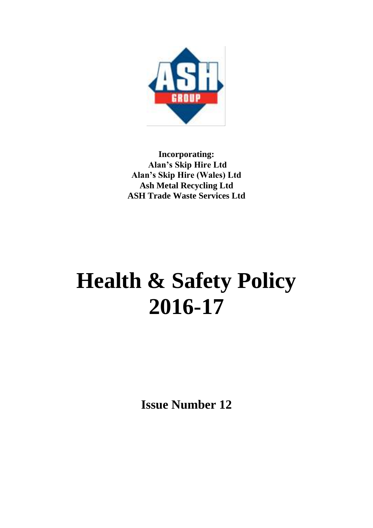

**Incorporating: Alan's Skip Hire Ltd Alan's Skip Hire (Wales) Ltd Ash Metal Recycling Ltd ASH Trade Waste Services Ltd**

# **Health & Safety Policy 2016-17**

**Issue Number 12**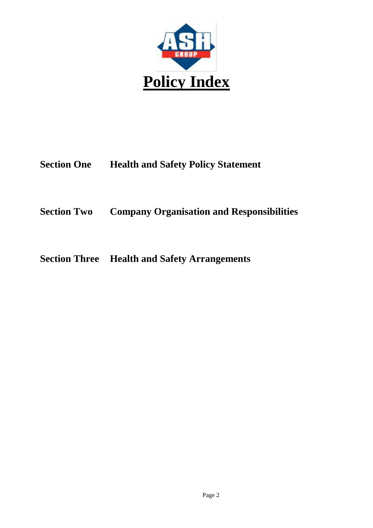

### **Section One Health and Safety Policy Statement**

### **Section Two Company Organisation and Responsibilities**

### **Section Three Health and Safety Arrangements**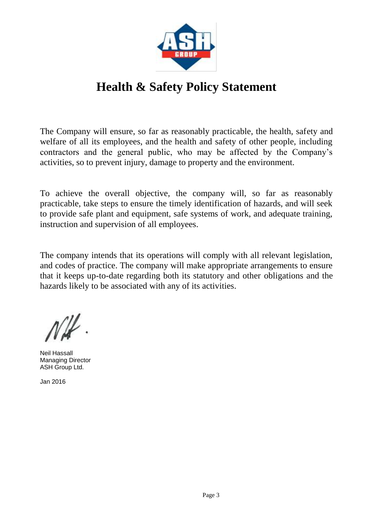

# **Health & Safety Policy Statement**

The Company will ensure, so far as reasonably practicable, the health, safety and welfare of all its employees, and the health and safety of other people, including contractors and the general public, who may be affected by the Company's activities, so to prevent injury, damage to property and the environment.

To achieve the overall objective, the company will, so far as reasonably practicable, take steps to ensure the timely identification of hazards, and will seek to provide safe plant and equipment, safe systems of work, and adequate training, instruction and supervision of all employees.

The company intends that its operations will comply with all relevant legislation, and codes of practice. The company will make appropriate arrangements to ensure that it keeps up-to-date regarding both its statutory and other obligations and the hazards likely to be associated with any of its activities.

Neil Hassall Managing Director ASH Group Ltd.

Jan 2016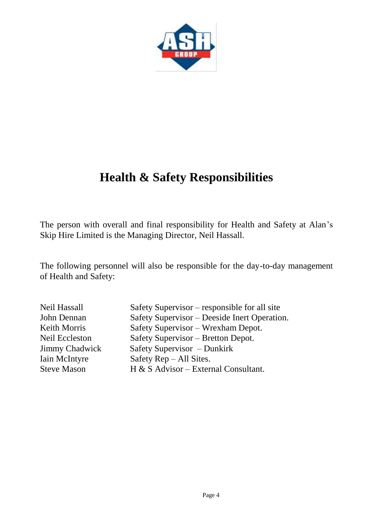

The person with overall and final responsibility for Health and Safety at Alan's Skip Hire Limited is the Managing Director, Neil Hassall.

The following personnel will also be responsible for the day-to-day management of Health and Safety:

| Neil Hassall          | Safety Supervisor – responsible for all site |
|-----------------------|----------------------------------------------|
| John Dennan           | Safety Supervisor - Deeside Inert Operation. |
| Keith Morris          | Safety Supervisor – Wrexham Depot.           |
| <b>Neil Eccleston</b> | Safety Supervisor - Bretton Depot.           |
| <b>Jimmy Chadwick</b> | Safety Supervisor – Dunkirk                  |
| <b>Iain McIntyre</b>  | Safety $\text{Rep}-\text{All}$ Sites.        |
| <b>Steve Mason</b>    | H & S Advisor - External Consultant.         |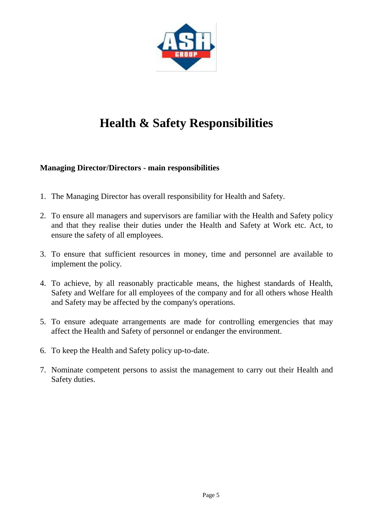

#### **Managing Director/Directors - main responsibilities**

- 1. The Managing Director has overall responsibility for Health and Safety.
- 2. To ensure all managers and supervisors are familiar with the Health and Safety policy and that they realise their duties under the Health and Safety at Work etc. Act, to ensure the safety of all employees.
- 3. To ensure that sufficient resources in money, time and personnel are available to implement the policy.
- 4. To achieve, by all reasonably practicable means, the highest standards of Health, Safety and Welfare for all employees of the company and for all others whose Health and Safety may be affected by the company's operations.
- 5. To ensure adequate arrangements are made for controlling emergencies that may affect the Health and Safety of personnel or endanger the environment.
- 6. To keep the Health and Safety policy up-to-date.
- 7. Nominate competent persons to assist the management to carry out their Health and Safety duties.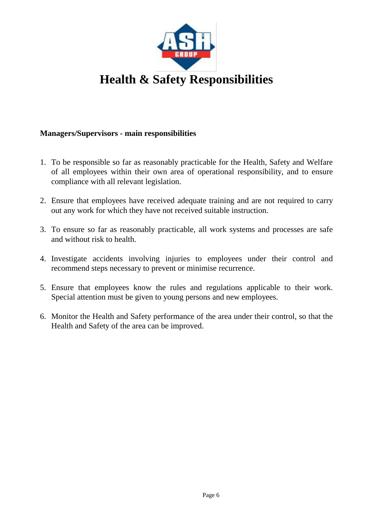

#### **Managers/Supervisors - main responsibilities**

- 1. To be responsible so far as reasonably practicable for the Health, Safety and Welfare of all employees within their own area of operational responsibility, and to ensure compliance with all relevant legislation.
- 2. Ensure that employees have received adequate training and are not required to carry out any work for which they have not received suitable instruction.
- 3. To ensure so far as reasonably practicable, all work systems and processes are safe and without risk to health.
- 4. Investigate accidents involving injuries to employees under their control and recommend steps necessary to prevent or minimise recurrence.
- 5. Ensure that employees know the rules and regulations applicable to their work. Special attention must be given to young persons and new employees.
- 6. Monitor the Health and Safety performance of the area under their control, so that the Health and Safety of the area can be improved.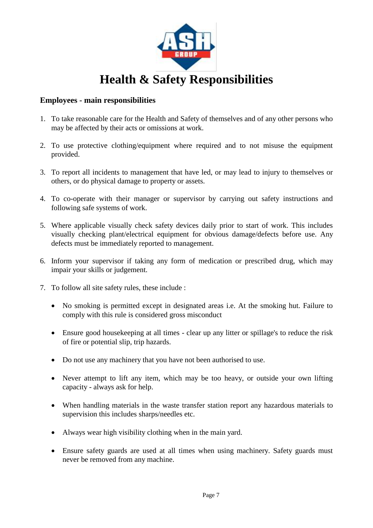

#### **Employees - main responsibilities**

- 1. To take reasonable care for the Health and Safety of themselves and of any other persons who may be affected by their acts or omissions at work.
- 2. To use protective clothing/equipment where required and to not misuse the equipment provided.
- 3. To report all incidents to management that have led, or may lead to injury to themselves or others, or do physical damage to property or assets.
- 4. To co-operate with their manager or supervisor by carrying out safety instructions and following safe systems of work.
- 5. Where applicable visually check safety devices daily prior to start of work. This includes visually checking plant/electrical equipment for obvious damage/defects before use. Any defects must be immediately reported to management.
- 6. Inform your supervisor if taking any form of medication or prescribed drug, which may impair your skills or judgement.
- 7. To follow all site safety rules, these include :
	- No smoking is permitted except in designated areas i.e. At the smoking hut. Failure to comply with this rule is considered gross misconduct
	- Ensure good housekeeping at all times clear up any litter or spillage's to reduce the risk of fire or potential slip, trip hazards.
	- Do not use any machinery that you have not been authorised to use.
	- Never attempt to lift any item, which may be too heavy, or outside your own lifting capacity - always ask for help.
	- When handling materials in the waste transfer station report any hazardous materials to supervision this includes sharps/needles etc.
	- Always wear high visibility clothing when in the main yard.
	- Ensure safety guards are used at all times when using machinery. Safety guards must never be removed from any machine.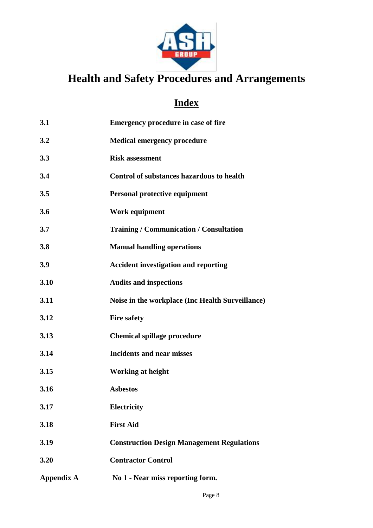

# **Health and Safety Procedures and Arrangements**

# **Index**

| 3.1               | Emergency procedure in case of fire               |
|-------------------|---------------------------------------------------|
| 3.2               | <b>Medical emergency procedure</b>                |
| 3.3               | <b>Risk assessment</b>                            |
| 3.4               | <b>Control of substances hazardous to health</b>  |
| 3.5               | <b>Personal protective equipment</b>              |
| 3.6               | Work equipment                                    |
| 3.7               | <b>Training / Communication / Consultation</b>    |
| 3.8               | <b>Manual handling operations</b>                 |
| 3.9               | <b>Accident investigation and reporting</b>       |
| 3.10              | <b>Audits and inspections</b>                     |
| 3.11              | Noise in the workplace (Inc Health Surveillance)  |
| 3.12              | <b>Fire safety</b>                                |
| 3.13              | <b>Chemical spillage procedure</b>                |
| 3.14              | <b>Incidents and near misses</b>                  |
| 3.15              | <b>Working at height</b>                          |
| 3.16              | <b>Asbestos</b>                                   |
| 3.17              | Electricity                                       |
| 3.18              | <b>First Aid</b>                                  |
| 3.19              | <b>Construction Design Management Regulations</b> |
| 3.20              | <b>Contractor Control</b>                         |
| <b>Appendix A</b> | No 1 - Near miss reporting form.                  |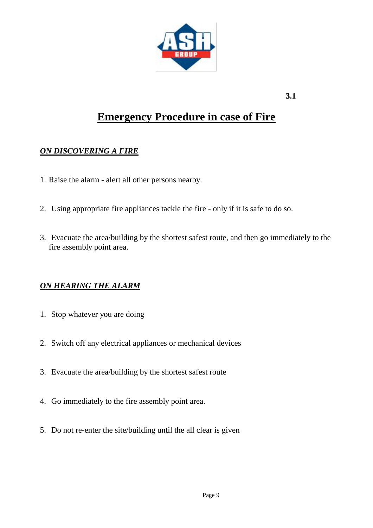

### **Emergency Procedure in case of Fire**

#### *ON DISCOVERING A FIRE*

- 1. Raise the alarm alert all other persons nearby.
- 2. Using appropriate fire appliances tackle the fire only if it is safe to do so.
- 3. Evacuate the area/building by the shortest safest route, and then go immediately to the fire assembly point area.

#### *ON HEARING THE ALARM*

- 1. Stop whatever you are doing
- 2. Switch off any electrical appliances or mechanical devices
- 3. Evacuate the area/building by the shortest safest route
- 4. Go immediately to the fire assembly point area.
- 5. Do not re-enter the site/building until the all clear is given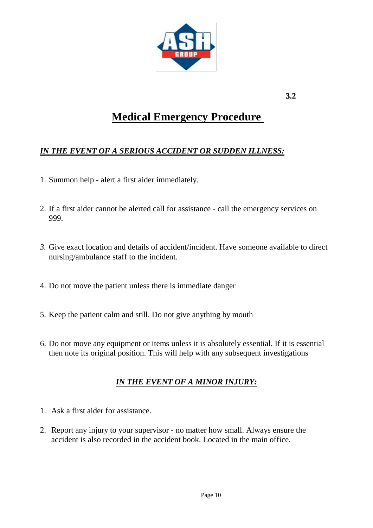

### **Medical Emergency Procedure**

#### *IN THE EVENT OF A SERIOUS ACCIDENT OR SUDDEN ILLNESS:*

- 1. Summon help alert a first aider immediately.
- 2. If a first aider cannot be alerted call for assistance call the emergency services on 999.
- *3.* Give exact location and details of accident/incident. Have someone available to direct nursing/ambulance staff to the incident.
- 4. Do not move the patient unless there is immediate danger
- 5. Keep the patient calm and still. Do not give anything by mouth
- 6. Do not move any equipment or items unless it is absolutely essential. If it is essential then note its original position. This will help with any subsequent investigations

#### *IN THE EVENT OF A MINOR INJURY:*

- 1. Ask a first aider for assistance.
- 2. Report any injury to your supervisor no matter how small. Always ensure the accident is also recorded in the accident book. Located in the main office.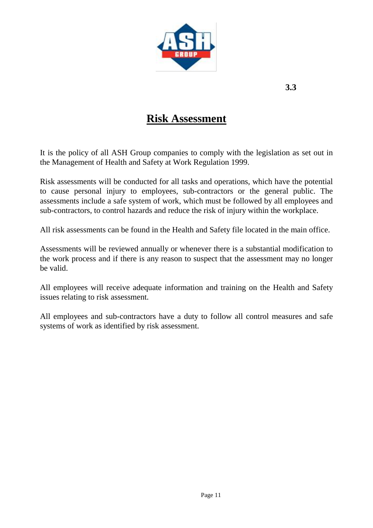

### **Risk Assessment**

It is the policy of all ASH Group companies to comply with the legislation as set out in the Management of Health and Safety at Work Regulation 1999.

Risk assessments will be conducted for all tasks and operations, which have the potential to cause personal injury to employees, sub-contractors or the general public. The assessments include a safe system of work, which must be followed by all employees and sub-contractors, to control hazards and reduce the risk of injury within the workplace.

All risk assessments can be found in the Health and Safety file located in the main office.

Assessments will be reviewed annually or whenever there is a substantial modification to the work process and if there is any reason to suspect that the assessment may no longer be valid.

All employees will receive adequate information and training on the Health and Safety issues relating to risk assessment.

All employees and sub-contractors have a duty to follow all control measures and safe systems of work as identified by risk assessment.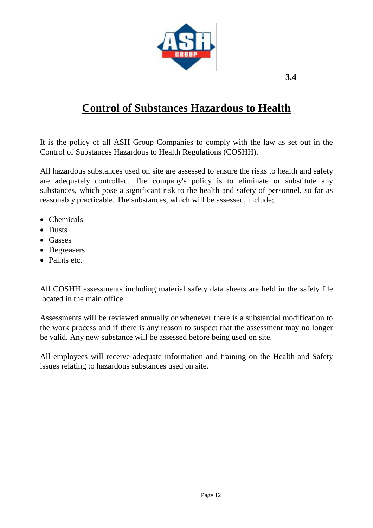

# **Control of Substances Hazardous to Health**

It is the policy of all ASH Group Companies to comply with the law as set out in the Control of Substances Hazardous to Health Regulations (COSHH).

All hazardous substances used on site are assessed to ensure the risks to health and safety are adequately controlled. The company's policy is to eliminate or substitute any substances, which pose a significant risk to the health and safety of personnel, so far as reasonably practicable. The substances, which will be assessed, include;

- Chemicals
- Dusts
- Gasses
- Degreasers
- Paints etc.

All COSHH assessments including material safety data sheets are held in the safety file located in the main office.

Assessments will be reviewed annually or whenever there is a substantial modification to the work process and if there is any reason to suspect that the assessment may no longer be valid. Any new substance will be assessed before being used on site.

All employees will receive adequate information and training on the Health and Safety issues relating to hazardous substances used on site.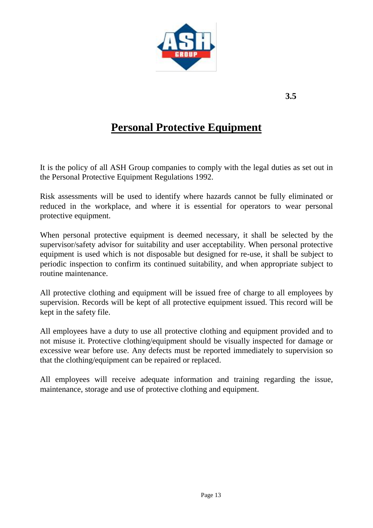

# **Personal Protective Equipment**

It is the policy of all ASH Group companies to comply with the legal duties as set out in the Personal Protective Equipment Regulations 1992.

Risk assessments will be used to identify where hazards cannot be fully eliminated or reduced in the workplace, and where it is essential for operators to wear personal protective equipment.

When personal protective equipment is deemed necessary, it shall be selected by the supervisor/safety advisor for suitability and user acceptability. When personal protective equipment is used which is not disposable but designed for re-use, it shall be subject to periodic inspection to confirm its continued suitability, and when appropriate subject to routine maintenance.

All protective clothing and equipment will be issued free of charge to all employees by supervision. Records will be kept of all protective equipment issued. This record will be kept in the safety file.

All employees have a duty to use all protective clothing and equipment provided and to not misuse it. Protective clothing/equipment should be visually inspected for damage or excessive wear before use. Any defects must be reported immediately to supervision so that the clothing/equipment can be repaired or replaced.

All employees will receive adequate information and training regarding the issue, maintenance, storage and use of protective clothing and equipment.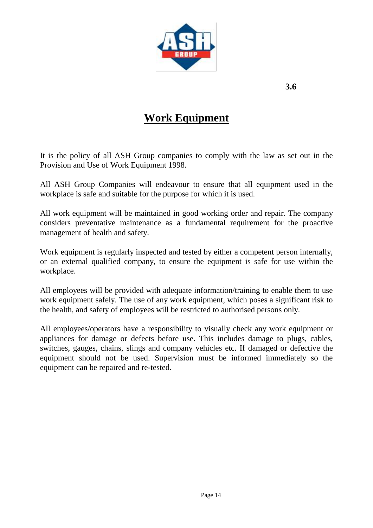

# **Work Equipment**

It is the policy of all ASH Group companies to comply with the law as set out in the Provision and Use of Work Equipment 1998.

All ASH Group Companies will endeavour to ensure that all equipment used in the workplace is safe and suitable for the purpose for which it is used.

All work equipment will be maintained in good working order and repair. The company considers preventative maintenance as a fundamental requirement for the proactive management of health and safety.

Work equipment is regularly inspected and tested by either a competent person internally, or an external qualified company, to ensure the equipment is safe for use within the workplace.

All employees will be provided with adequate information/training to enable them to use work equipment safely. The use of any work equipment, which poses a significant risk to the health, and safety of employees will be restricted to authorised persons only.

All employees/operators have a responsibility to visually check any work equipment or appliances for damage or defects before use. This includes damage to plugs, cables, switches, gauges, chains, slings and company vehicles etc. If damaged or defective the equipment should not be used. Supervision must be informed immediately so the equipment can be repaired and re-tested.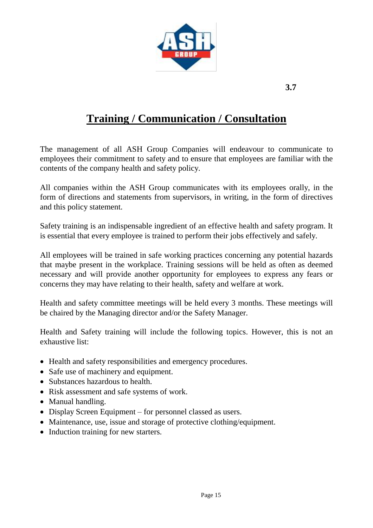

# **Training / Communication / Consultation**

The management of all ASH Group Companies will endeavour to communicate to employees their commitment to safety and to ensure that employees are familiar with the contents of the company health and safety policy.

All companies within the ASH Group communicates with its employees orally, in the form of directions and statements from supervisors, in writing, in the form of directives and this policy statement.

Safety training is an indispensable ingredient of an effective health and safety program. It is essential that every employee is trained to perform their jobs effectively and safely.

All employees will be trained in safe working practices concerning any potential hazards that maybe present in the workplace. Training sessions will be held as often as deemed necessary and will provide another opportunity for employees to express any fears or concerns they may have relating to their health, safety and welfare at work.

Health and safety committee meetings will be held every 3 months. These meetings will be chaired by the Managing director and/or the Safety Manager.

Health and Safety training will include the following topics. However, this is not an exhaustive list:

- Health and safety responsibilities and emergency procedures.
- Safe use of machinery and equipment.
- Substances hazardous to health.
- Risk assessment and safe systems of work.
- Manual handling.
- Display Screen Equipment for personnel classed as users.
- Maintenance, use, issue and storage of protective clothing/equipment.
- Induction training for new starters.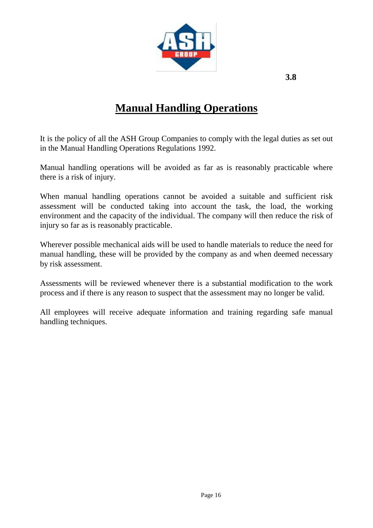

# **Manual Handling Operations**

It is the policy of all the ASH Group Companies to comply with the legal duties as set out in the Manual Handling Operations Regulations 1992.

Manual handling operations will be avoided as far as is reasonably practicable where there is a risk of injury.

When manual handling operations cannot be avoided a suitable and sufficient risk assessment will be conducted taking into account the task, the load, the working environment and the capacity of the individual. The company will then reduce the risk of injury so far as is reasonably practicable.

Wherever possible mechanical aids will be used to handle materials to reduce the need for manual handling, these will be provided by the company as and when deemed necessary by risk assessment.

Assessments will be reviewed whenever there is a substantial modification to the work process and if there is any reason to suspect that the assessment may no longer be valid.

All employees will receive adequate information and training regarding safe manual handling techniques.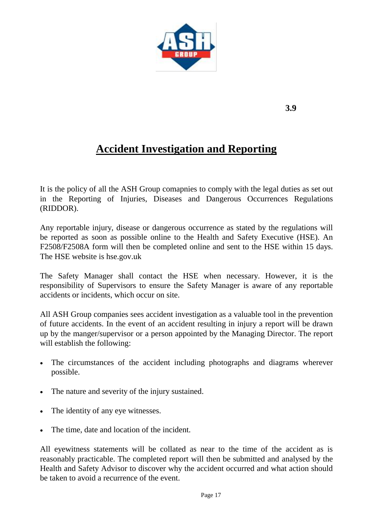

# **Accident Investigation and Reporting**

It is the policy of all the ASH Group comapnies to comply with the legal duties as set out in the Reporting of Injuries, Diseases and Dangerous Occurrences Regulations (RIDDOR).

Any reportable injury, disease or dangerous occurrence as stated by the regulations will be reported as soon as possible online to the Health and Safety Executive (HSE). An F2508/F2508A form will then be completed online and sent to the HSE within 15 days. The HSE website is hse.gov.uk

The Safety Manager shall contact the HSE when necessary. However, it is the responsibility of Supervisors to ensure the Safety Manager is aware of any reportable accidents or incidents, which occur on site.

All ASH Group companies sees accident investigation as a valuable tool in the prevention of future accidents. In the event of an accident resulting in injury a report will be drawn up by the manger/supervisor or a person appointed by the Managing Director. The report will establish the following:

- The circumstances of the accident including photographs and diagrams wherever possible.
- The nature and severity of the injury sustained.
- The identity of any eye witnesses.
- The time, date and location of the incident.

All eyewitness statements will be collated as near to the time of the accident as is reasonably practicable. The completed report will then be submitted and analysed by the Health and Safety Advisor to discover why the accident occurred and what action should be taken to avoid a recurrence of the event.

**3.9**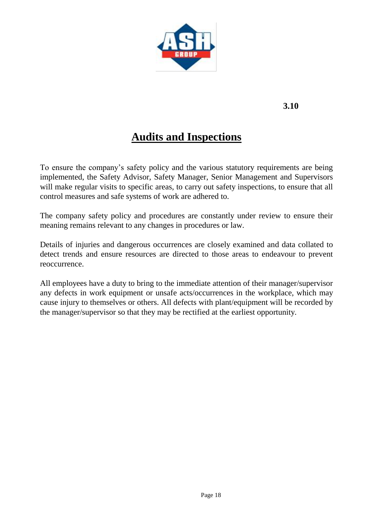

# **Audits and Inspections**

To ensure the company's safety policy and the various statutory requirements are being implemented, the Safety Advisor, Safety Manager, Senior Management and Supervisors will make regular visits to specific areas, to carry out safety inspections, to ensure that all control measures and safe systems of work are adhered to.

The company safety policy and procedures are constantly under review to ensure their meaning remains relevant to any changes in procedures or law.

Details of injuries and dangerous occurrences are closely examined and data collated to detect trends and ensure resources are directed to those areas to endeavour to prevent reoccurrence.

All employees have a duty to bring to the immediate attention of their manager/supervisor any defects in work equipment or unsafe acts/occurrences in the workplace, which may cause injury to themselves or others. All defects with plant/equipment will be recorded by the manager/supervisor so that they may be rectified at the earliest opportunity.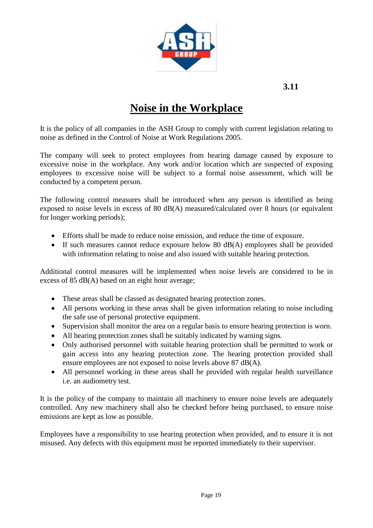

### **Noise in the Workplace**

It is the policy of all companies in the ASH Group to comply with current legislation relating to noise as defined in the Control of Noise at Work Regulations 2005.

The company will seek to protect employees from hearing damage caused by exposure to excessive noise in the workplace. Any work and/or location which are suspected of exposing employees to excessive noise will be subject to a formal noise assessment, which will be conducted by a competent person.

The following control measures shall be introduced when any person is identified as being exposed to noise levels in excess of 80 dB(A) measured/calculated over 8 hours (or equivalent for longer working periods);

- Efforts shall be made to reduce noise emission, and reduce the time of exposure.
- If such measures cannot reduce exposure below 80 dB(A) employees shall be provided with information relating to noise and also issued with suitable hearing protection.

Additional control measures will be implemented when noise levels are considered to be in excess of 85 dB(A) based on an eight hour average;

- These areas shall be classed as designated hearing protection zones.
- All persons working in these areas shall be given information relating to noise including the safe use of personal protective equipment.
- Supervision shall monitor the area on a regular basis to ensure hearing protection is worn.
- All hearing protection zones shall be suitably indicated by warning signs.
- Only authorised personnel with suitable hearing protection shall be permitted to work or gain access into any hearing protection zone. The hearing protection provided shall ensure employees are not exposed to noise levels above 87 dB(A).
- All personnel working in these areas shall be provided with regular health surveillance i.e. an audiometry test.

It is the policy of the company to maintain all machinery to ensure noise levels are adequately controlled. Any new machinery shall also be checked before being purchased, to ensure noise emissions are kept as low as possible.

Employees have a responsibility to use hearing protection when provided, and to ensure it is not misused. Any defects with this equipment must be reported immediately to their supervisor.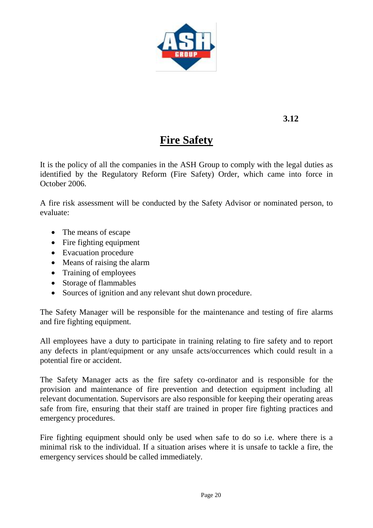

# **Fire Safety**

It is the policy of all the companies in the ASH Group to comply with the legal duties as identified by the Regulatory Reform (Fire Safety) Order, which came into force in October 2006.

A fire risk assessment will be conducted by the Safety Advisor or nominated person, to evaluate:

- The means of escape
- Fire fighting equipment
- Evacuation procedure
- Means of raising the alarm
- Training of employees
- Storage of flammables
- Sources of ignition and any relevant shut down procedure.

The Safety Manager will be responsible for the maintenance and testing of fire alarms and fire fighting equipment.

All employees have a duty to participate in training relating to fire safety and to report any defects in plant/equipment or any unsafe acts/occurrences which could result in a potential fire or accident.

The Safety Manager acts as the fire safety co-ordinator and is responsible for the provision and maintenance of fire prevention and detection equipment including all relevant documentation. Supervisors are also responsible for keeping their operating areas safe from fire, ensuring that their staff are trained in proper fire fighting practices and emergency procedures.

Fire fighting equipment should only be used when safe to do so i.e. where there is a minimal risk to the individual. If a situation arises where it is unsafe to tackle a fire, the emergency services should be called immediately.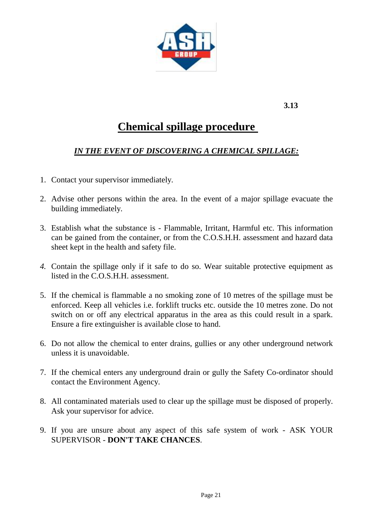

### **Chemical spillage procedure**

#### *IN THE EVENT OF DISCOVERING A CHEMICAL SPILLAGE:*

- 1. Contact your supervisor immediately.
- 2. Advise other persons within the area. In the event of a major spillage evacuate the building immediately.
- 3. Establish what the substance is Flammable, Irritant, Harmful etc. This information can be gained from the container, or from the C.O.S.H.H. assessment and hazard data sheet kept in the health and safety file.
- *4.* Contain the spillage only if it safe to do so. Wear suitable protective equipment as listed in the C.O.S.H.H. assessment.
- 5. If the chemical is flammable a no smoking zone of 10 metres of the spillage must be enforced. Keep all vehicles i.e. forklift trucks etc. outside the 10 metres zone. Do not switch on or off any electrical apparatus in the area as this could result in a spark. Ensure a fire extinguisher is available close to hand.
- 6. Do not allow the chemical to enter drains, gullies or any other underground network unless it is unavoidable.
- 7. If the chemical enters any underground drain or gully the Safety Co-ordinator should contact the Environment Agency.
- 8. All contaminated materials used to clear up the spillage must be disposed of properly. Ask your supervisor for advice.
- 9. If you are unsure about any aspect of this safe system of work ASK YOUR SUPERVISOR - **DON'T TAKE CHANCES**.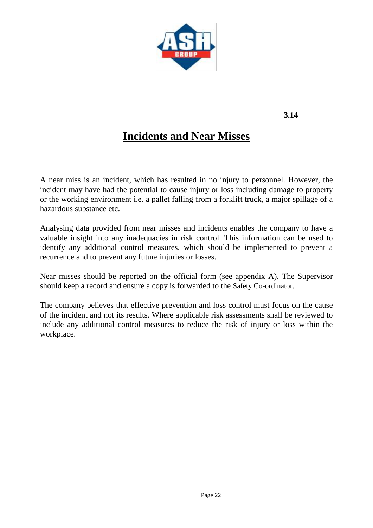

# **Incidents and Near Misses**

A near miss is an incident, which has resulted in no injury to personnel. However, the incident may have had the potential to cause injury or loss including damage to property or the working environment i.e. a pallet falling from a forklift truck, a major spillage of a hazardous substance etc.

Analysing data provided from near misses and incidents enables the company to have a valuable insight into any inadequacies in risk control. This information can be used to identify any additional control measures, which should be implemented to prevent a recurrence and to prevent any future injuries or losses.

Near misses should be reported on the official form (see appendix A). The Supervisor should keep a record and ensure a copy is forwarded to the Safety Co-ordinator.

The company believes that effective prevention and loss control must focus on the cause of the incident and not its results. Where applicable risk assessments shall be reviewed to include any additional control measures to reduce the risk of injury or loss within the workplace.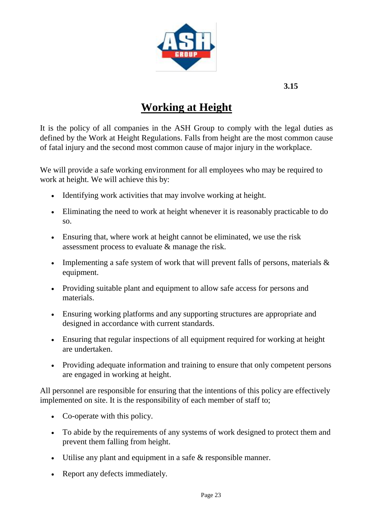

# **Working at Height**

It is the policy of all companies in the ASH Group to comply with the legal duties as defined by the Work at Height Regulations. Falls from height are the most common cause of fatal injury and the second most common cause of major injury in the workplace.

We will provide a safe working environment for all employees who may be required to work at height. We will achieve this by:

- Identifying work activities that may involve working at height.
- Eliminating the need to work at height whenever it is reasonably practicable to do so.
- Ensuring that, where work at height cannot be eliminated, we use the risk assessment process to evaluate & manage the risk.
- Implementing a safe system of work that will prevent falls of persons, materials  $\&$ equipment.
- Providing suitable plant and equipment to allow safe access for persons and materials.
- Ensuring working platforms and any supporting structures are appropriate and designed in accordance with current standards.
- Ensuring that regular inspections of all equipment required for working at height are undertaken.
- Providing adequate information and training to ensure that only competent persons are engaged in working at height.

All personnel are responsible for ensuring that the intentions of this policy are effectively implemented on site. It is the responsibility of each member of staff to;

- Co-operate with this policy.
- To abide by the requirements of any systems of work designed to protect them and prevent them falling from height.
- Utilise any plant and equipment in a safe & responsible manner.
- Report any defects immediately.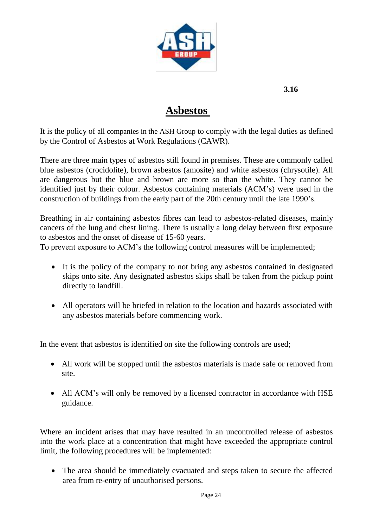

### **Asbestos**

It is the policy of all companies in the ASH Group to comply with the legal duties as defined by the Control of Asbestos at Work Regulations (CAWR).

There are three main types of asbestos still found in premises. These are commonly called blue asbestos (crocidolite), brown asbestos (amosite) and white asbestos (chrysotile). All are dangerous but the blue and brown are more so than the white. They cannot be identified just by their colour. Asbestos containing materials (ACM's) were used in the construction of buildings from the early part of the 20th century until the late 1990's.

Breathing in air containing asbestos fibres can lead to asbestos-related diseases, mainly cancers of the lung and chest lining. There is usually a long delay between first exposure to asbestos and the onset of disease of 15-60 years.

To prevent exposure to ACM's the following control measures will be implemented;

- It is the policy of the company to not bring any asbestos contained in designated skips onto site. Any designated asbestos skips shall be taken from the pickup point directly to landfill.
- All operators will be briefed in relation to the location and hazards associated with any asbestos materials before commencing work.

In the event that asbestos is identified on site the following controls are used;

- All work will be stopped until the asbestos materials is made safe or removed from site.
- All ACM's will only be removed by a licensed contractor in accordance with HSE guidance.

Where an incident arises that may have resulted in an uncontrolled release of asbestos into the work place at a concentration that might have exceeded the appropriate control limit, the following procedures will be implemented:

 The area should be immediately evacuated and steps taken to secure the affected area from re-entry of unauthorised persons.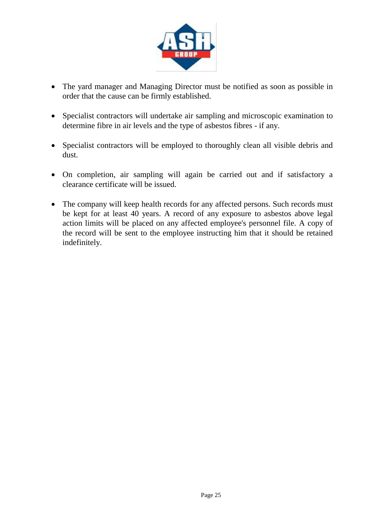

- The yard manager and Managing Director must be notified as soon as possible in order that the cause can be firmly established.
- Specialist contractors will undertake air sampling and microscopic examination to determine fibre in air levels and the type of asbestos fibres - if any.
- Specialist contractors will be employed to thoroughly clean all visible debris and dust.
- On completion, air sampling will again be carried out and if satisfactory a clearance certificate will be issued.
- The company will keep health records for any affected persons. Such records must be kept for at least 40 years. A record of any exposure to asbestos above legal action limits will be placed on any affected employee's personnel file. A copy of the record will be sent to the employee instructing him that it should be retained indefinitely.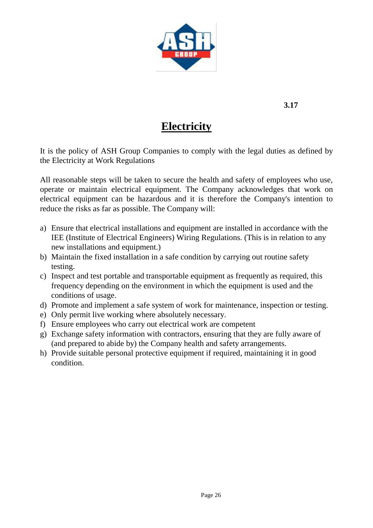

### **Electricity**

It is the policy of ASH Group Companies to comply with the legal duties as defined by the Electricity at Work Regulations

All reasonable steps will be taken to secure the health and safety of employees who use, operate or maintain electrical equipment. The Company acknowledges that work on electrical equipment can be hazardous and it is therefore the Company's intention to reduce the risks as far as possible. The Company will:

- a) Ensure that electrical installations and equipment are installed in accordance with the IEE (Institute of Electrical Engineers) Wiring Regulations. (This is in relation to any new installations and equipment.)
- b) Maintain the fixed installation in a safe condition by carrying out routine safety testing.
- c) Inspect and test portable and transportable equipment as frequently as required, this frequency depending on the environment in which the equipment is used and the conditions of usage.
- d) Promote and implement a safe system of work for maintenance, inspection or testing.
- e) Only permit live working where absolutely necessary.
- f) Ensure employees who carry out electrical work are competent
- g) Exchange safety information with contractors, ensuring that they are fully aware of (and prepared to abide by) the Company health and safety arrangements.
- h) Provide suitable personal protective equipment if required, maintaining it in good condition.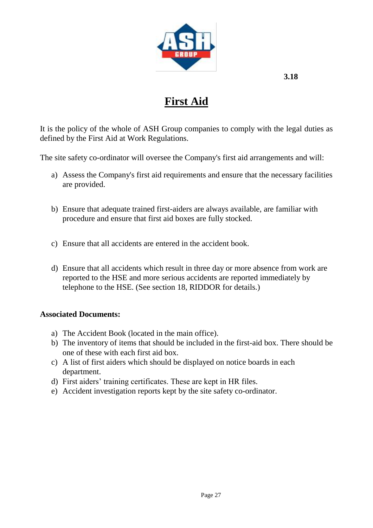

# **First Aid**

It is the policy of the whole of ASH Group companies to comply with the legal duties as defined by the First Aid at Work Regulations.

The site safety co-ordinator will oversee the Company's first aid arrangements and will:

- a) Assess the Company's first aid requirements and ensure that the necessary facilities are provided.
- b) Ensure that adequate trained first-aiders are always available, are familiar with procedure and ensure that first aid boxes are fully stocked.
- c) Ensure that all accidents are entered in the accident book.
- d) Ensure that all accidents which result in three day or more absence from work are reported to the HSE and more serious accidents are reported immediately by telephone to the HSE. (See section 18, RIDDOR for details.)

#### **Associated Documents:**

- a) The Accident Book (located in the main office).
- b) The inventory of items that should be included in the first-aid box. There should be one of these with each first aid box.
- c) A list of first aiders which should be displayed on notice boards in each department.
- d) First aiders' training certificates. These are kept in HR files.
- e) Accident investigation reports kept by the site safety co-ordinator.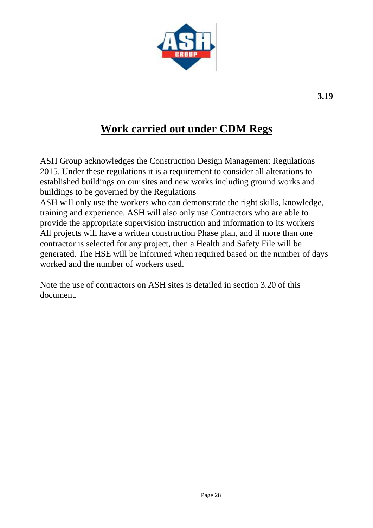

### **Work carried out under CDM Regs**

ASH Group acknowledges the Construction Design Management Regulations 2015. Under these regulations it is a requirement to consider all alterations to established buildings on our sites and new works including ground works and buildings to be governed by the Regulations

ASH will only use the workers who can demonstrate the right skills, knowledge, training and experience. ASH will also only use Contractors who are able to provide the appropriate supervision instruction and information to its workers All projects will have a written construction Phase plan, and if more than one contractor is selected for any project, then a Health and Safety File will be generated. The HSE will be informed when required based on the number of days worked and the number of workers used.

Note the use of contractors on ASH sites is detailed in section 3.20 of this document.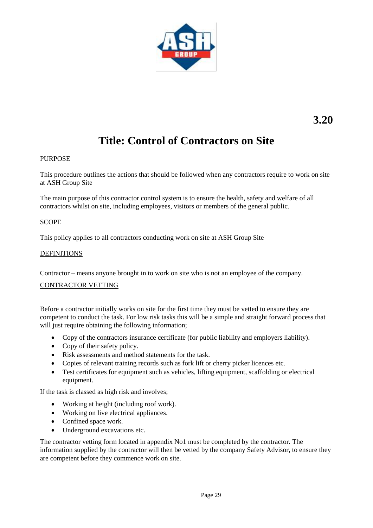

# **Title: Control of Contractors on Site**

#### PURPOSE

This procedure outlines the actions that should be followed when any contractors require to work on site at ASH Group Site

The main purpose of this contractor control system is to ensure the health, safety and welfare of all contractors whilst on site, including employees, visitors or members of the general public.

#### SCOPE

This policy applies to all contractors conducting work on site at ASH Group Site

#### DEFINITIONS

Contractor – means anyone brought in to work on site who is not an employee of the company.

#### CONTRACTOR VETTING

Before a contractor initially works on site for the first time they must be vetted to ensure they are competent to conduct the task. For low risk tasks this will be a simple and straight forward process that will just require obtaining the following information;

- Copy of the contractors insurance certificate (for public liability and employers liability).
- Copy of their safety policy.
- Risk assessments and method statements for the task.
- Copies of relevant training records such as fork lift or cherry picker licences etc.
- Test certificates for equipment such as vehicles, lifting equipment, scaffolding or electrical equipment.

If the task is classed as high risk and involves;

- Working at height (including roof work).
- Working on live electrical appliances.
- Confined space work.
- Underground excavations etc.

The contractor vetting form located in appendix No1 must be completed by the contractor. The information supplied by the contractor will then be vetted by the company Safety Advisor, to ensure they are competent before they commence work on site.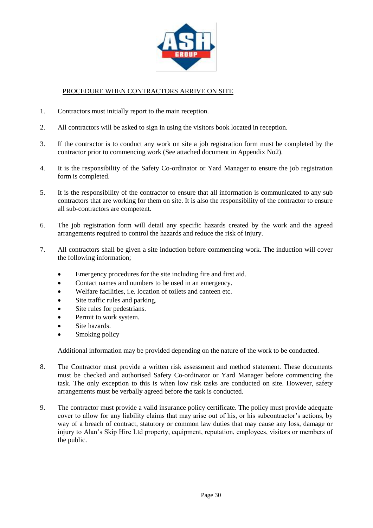

#### PROCEDURE WHEN CONTRACTORS ARRIVE ON SITE

- 1. Contractors must initially report to the main reception.
- 2. All contractors will be asked to sign in using the visitors book located in reception.
- 3. If the contractor is to conduct any work on site a job registration form must be completed by the contractor prior to commencing work (See attached document in Appendix No2).
- 4. It is the responsibility of the Safety Co-ordinator or Yard Manager to ensure the job registration form is completed.
- 5. It is the responsibility of the contractor to ensure that all information is communicated to any sub contractors that are working for them on site. It is also the responsibility of the contractor to ensure all sub-contractors are competent.
- 6. The job registration form will detail any specific hazards created by the work and the agreed arrangements required to control the hazards and reduce the risk of injury.
- 7. All contractors shall be given a site induction before commencing work. The induction will cover the following information;
	- Emergency procedures for the site including fire and first aid.
	- Contact names and numbers to be used in an emergency.
	- Welfare facilities, i.e. location of toilets and canteen etc.
	- Site traffic rules and parking.
	- Site rules for pedestrians.
	- Permit to work system.
	- Site hazards.
	- Smoking policy

Additional information may be provided depending on the nature of the work to be conducted.

- 8. The Contractor must provide a written risk assessment and method statement. These documents must be checked and authorised Safety Co-ordinator or Yard Manager before commencing the task. The only exception to this is when low risk tasks are conducted on site. However, safety arrangements must be verbally agreed before the task is conducted.
- 9. The contractor must provide a valid insurance policy certificate. The policy must provide adequate cover to allow for any liability claims that may arise out of his, or his subcontractor's actions, by way of a breach of contract, statutory or common law duties that may cause any loss, damage or injury to Alan's Skip Hire Ltd property, equipment, reputation, employees, visitors or members of the public.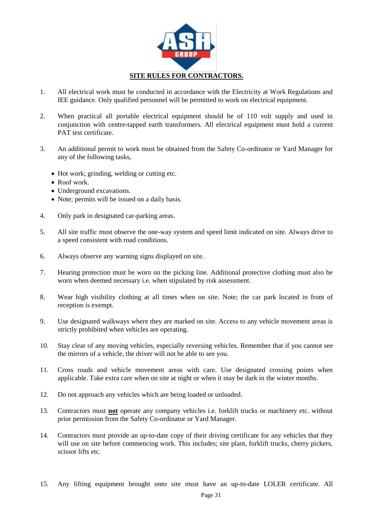

- 1. All electrical work must be conducted in accordance with the Electricity at Work Regulations and IEE guidance. Only qualified personnel will be permitted to work on electrical equipment.
- 2. When practical all portable electrical equipment should be of 110 volt supply and used in conjunction with centre-tapped earth transformers. All electrical equipment must hold a current PAT test certificate.
- 3. An additional permit to work must be obtained from the Safety Co-ordinator or Yard Manager for any of the following tasks,
	- Hot work; grinding, welding or cutting etc.
	- Roof work.
	- Underground excavations.
	- Note; permits will be issued on a daily basis.
- 4. Only park in designated car-parking areas.
- 5. All site traffic must observe the one-way system and speed limit indicated on site. Always drive to a speed consistent with road conditions.
- 6. Always observe any warning signs displayed on site.
- 7. Hearing protection must be worn on the picking line. Additional protective clothing must also be worn when deemed necessary i.e. when stipulated by risk assessment.
- 8. Wear high visibility clothing at all times when on site. Note; the car park located in front of reception is exempt.
- 9. Use designated walkways where they are marked on site. Access to any vehicle movement areas is strictly prohibited when vehicles are operating.
- 10. Stay clear of any moving vehicles, especially reversing vehicles. Remember that if you cannot see the mirrors of a vehicle, the driver will not be able to see you.
- 11. Cross roads and vehicle movement areas with care. Use designated crossing points when applicable. Take extra care when on site at night or when it may be dark in the winter months.
- 12. Do not approach any vehicles which are being loaded or unloaded.
- 13. Contractors must **not** operate any company vehicles i.e. forklift trucks or machinery etc. without prior permission from the Safety Co-ordinator or Yard Manager.
- 14. Contractors must provide an up-to-date copy of their driving certificate for any vehicles that they will use on site before commencing work. This includes; site plant, forklift trucks, cherry pickers, scissor lifts etc.
- 15. Any lifting equipment brought onto site must have an up-to-date LOLER certificate. All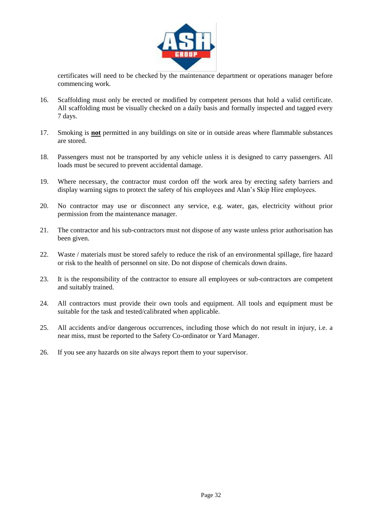

certificates will need to be checked by the maintenance department or operations manager before commencing work.

- 16. Scaffolding must only be erected or modified by competent persons that hold a valid certificate. All scaffolding must be visually checked on a daily basis and formally inspected and tagged every 7 days.
- 17. Smoking is **not** permitted in any buildings on site or in outside areas where flammable substances are stored.
- 18. Passengers must not be transported by any vehicle unless it is designed to carry passengers. All loads must be secured to prevent accidental damage.
- 19. Where necessary, the contractor must cordon off the work area by erecting safety barriers and display warning signs to protect the safety of his employees and Alan's Skip Hire employees.
- 20. No contractor may use or disconnect any service, e.g. water, gas, electricity without prior permission from the maintenance manager.
- 21. The contractor and his sub-contractors must not dispose of any waste unless prior authorisation has been given.
- 22. Waste / materials must be stored safely to reduce the risk of an environmental spillage, fire hazard or risk to the health of personnel on site. Do not dispose of chemicals down drains.
- 23. It is the responsibility of the contractor to ensure all employees or sub-contractors are competent and suitably trained.
- 24. All contractors must provide their own tools and equipment. All tools and equipment must be suitable for the task and tested/calibrated when applicable.
- 25. All accidents and/or dangerous occurrences, including those which do not result in injury, i.e. a near miss, must be reported to the Safety Co-ordinator or Yard Manager.
- 26. If you see any hazards on site always report them to your supervisor.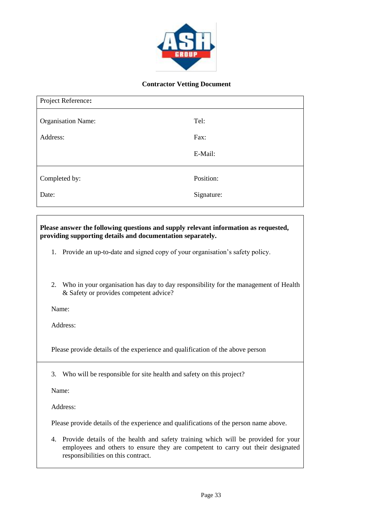

#### **Contractor Vetting Document**

| Project Reference:        |            |
|---------------------------|------------|
| <b>Organisation Name:</b> | Tel:       |
| Address:                  | Fax:       |
|                           | E-Mail:    |
| Completed by:             | Position:  |
| Date:                     | Signature: |

#### **Please answer the following questions and supply relevant information as requested, providing supporting details and documentation separately.**

- 1. Provide an up-to-date and signed copy of your organisation's safety policy.
- 2. Who in your organisation has day to day responsibility for the management of Health & Safety or provides competent advice?

Name: Position: Tel:

Address: The contract of the contract of the contract of the contract of the contract of the contract of the contract of the contract of the contract of the contract of the contract of the contract of the contract of the c

Please provide details of the experience and qualification of the above person

3. Who will be responsible for site health and safety on this project?

Name: Position: Tel:

Address: The contract of the contract of the contract of the contract of the contract of the contract of the contract of the contract of the contract of the contract of the contract of the contract of the contract of the c

Please provide details of the experience and qualifications of the person name above.

4. Provide details of the health and safety training which will be provided for your employees and others to ensure they are competent to carry out their designated responsibilities on this contract.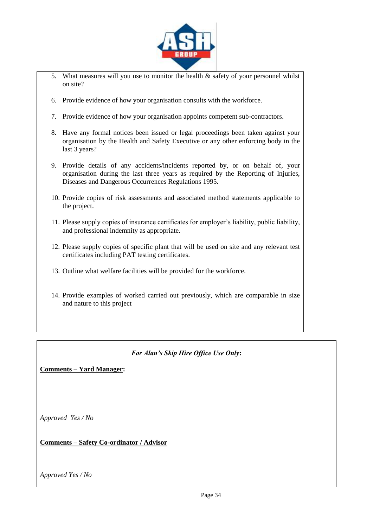

- 5. What measures will you use to monitor the health  $\&$  safety of your personnel whilst on site?
- 6. Provide evidence of how your organisation consults with the workforce.
- 7. Provide evidence of how your organisation appoints competent sub-contractors.
- 8. Have any formal notices been issued or legal proceedings been taken against your organisation by the Health and Safety Executive or any other enforcing body in the last 3 years?
- 9. Provide details of any accidents/incidents reported by, or on behalf of, your organisation during the last three years as required by the Reporting of Injuries, Diseases and Dangerous Occurrences Regulations 1995.
- 10. Provide copies of risk assessments and associated method statements applicable to the project.
- 11. Please supply copies of insurance certificates for employer's liability, public liability, and professional indemnity as appropriate.
- 12. Please supply copies of specific plant that will be used on site and any relevant test certificates including PAT testing certificates.
- 13. Outline what welfare facilities will be provided for the workforce.
- 14. Provide examples of worked carried out previously, which are comparable in size and nature to this project

#### *For Alan's Skip Hire Office Use Only***:**

**Comments – Yard Manager:**

*Approved Yes / No*

**Comments – Safety Co-ordinator / Advisor**

*Approved Yes / No*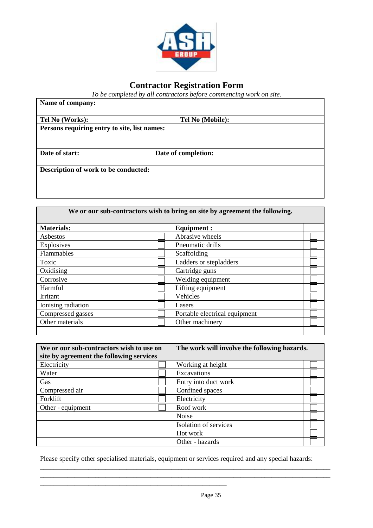

#### **Contractor Registration Form**

*To be completed by all contractors before commencing work on site.*

 $\mathbf{r}$ 

| Name of company:                             |                     |  |
|----------------------------------------------|---------------------|--|
| Tel No (Works):                              | Tel No (Mobile):    |  |
| Persons requiring entry to site, list names: |                     |  |
|                                              |                     |  |
| Date of start:                               | Date of completion: |  |
| Description of work to be conducted:         |                     |  |
|                                              |                     |  |
|                                              |                     |  |

┑

| We or our sub-contractors wish to bring on site by agreement the following. |  |                               |  |
|-----------------------------------------------------------------------------|--|-------------------------------|--|
| <b>Materials:</b>                                                           |  | <b>Equipment:</b>             |  |
| Asbestos                                                                    |  | Abrasive wheels               |  |
| Explosives                                                                  |  | Pneumatic drills              |  |
| Flammables                                                                  |  | Scaffolding                   |  |
| Toxic                                                                       |  | Ladders or stepladders        |  |
| Oxidising                                                                   |  | Cartridge guns                |  |
| Corrosive                                                                   |  | Welding equipment             |  |
| Harmful                                                                     |  | Lifting equipment             |  |
| Irritant                                                                    |  | Vehicles                      |  |
| Ionising radiation                                                          |  | Lasers                        |  |
| Compressed gasses                                                           |  | Portable electrical equipment |  |
| Other materials                                                             |  | Other machinery               |  |
|                                                                             |  |                               |  |

| We or our sub-contractors wish to use on | The work will involve the following hazards. |  |
|------------------------------------------|----------------------------------------------|--|
| site by agreement the following services |                                              |  |
| Electricity                              | Working at height                            |  |
| Water                                    | Excavations                                  |  |
| Gas                                      | Entry into duct work                         |  |
| Compressed air                           | Confined spaces                              |  |
| Forklift                                 | Electricity                                  |  |
| Other - equipment                        | Roof work                                    |  |
|                                          | Noise                                        |  |
|                                          | Isolation of services                        |  |
|                                          | Hot work                                     |  |
|                                          | Other - hazards                              |  |

Please specify other specialised materials, equipment or services required and any special hazards:

\_\_\_\_\_\_\_\_\_\_\_\_\_\_\_\_\_\_\_\_\_\_\_\_\_\_\_\_\_\_\_\_\_\_\_\_\_\_\_\_\_\_\_\_\_\_\_\_\_\_\_\_\_\_

\_\_\_\_\_\_\_\_\_\_\_\_\_\_\_\_\_\_\_\_\_\_\_\_\_\_\_\_\_\_\_\_\_\_\_\_\_\_\_\_\_\_\_\_\_\_\_\_\_\_\_\_\_\_\_\_\_\_\_\_\_\_\_\_\_\_\_\_\_\_\_\_\_\_\_\_\_\_\_\_\_\_\_\_ \_\_\_\_\_\_\_\_\_\_\_\_\_\_\_\_\_\_\_\_\_\_\_\_\_\_\_\_\_\_\_\_\_\_\_\_\_\_\_\_\_\_\_\_\_\_\_\_\_\_\_\_\_\_\_\_\_\_\_\_\_\_\_\_\_\_\_\_\_\_\_\_\_\_\_\_\_\_\_\_\_\_\_\_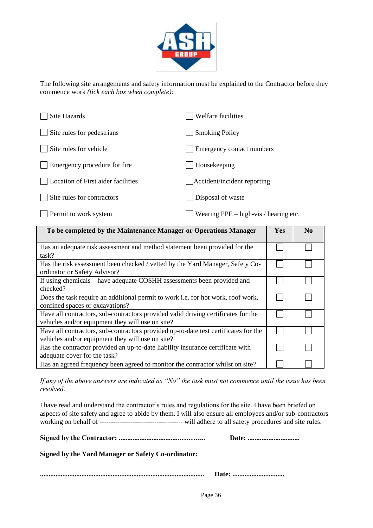

The following site arrangements and safety information must be explained to the Contractor before they commence work *(tick each box when complete):*

| Site Hazards                       | Welfare facilities                      |
|------------------------------------|-----------------------------------------|
| Site rules for pedestrians         | <b>Smoking Policy</b>                   |
| Site rules for vehicle             | Emergency contact numbers               |
| Emergency procedure for fire       | Housekeeping                            |
| Location of First aider facilities | Accident/incident reporting             |
| Site rules for contractors         | Disposal of waste                       |
| Permit to work system              | Wearing $PPE - high-vis / hearing etc.$ |

| To be completed by the Maintenance Manager or Operations Manager                                                                        | <b>Yes</b> | N <sub>0</sub> |
|-----------------------------------------------------------------------------------------------------------------------------------------|------------|----------------|
| Has an adequate risk assessment and method statement been provided for the<br>task?                                                     |            |                |
| Has the risk assessment been checked / vetted by the Yard Manager, Safety Co-<br>ordinator or Safety Advisor?                           |            |                |
| If using chemicals – have adequate COSHH assessments been provided and<br>checked?                                                      |            |                |
| Does the task require an additional permit to work i.e. for hot work, roof work,<br>confined spaces or excavations?                     |            |                |
| Have all contractors, sub-contractors provided valid driving certificates for the<br>vehicles and/or equipment they will use on site?   |            |                |
| Have all contractors, sub-contractors provided up-to-date test certificates for the<br>vehicles and/or equipment they will use on site? |            |                |
| Has the contractor provided an up-to-date liability insurance certificate with<br>adequate cover for the task?                          |            |                |
| Has an agreed frequency been agreed to monitor the contractor whilst on site?                                                           |            |                |

*If any of the above answers are indicated as "No" the task must not commence until the issue has been resolved.*

I have read and understand the contractor's rules and regulations for the site. I have been briefed on aspects of site safety and agree to abide by them. I will also ensure all employees and/or sub-contractors working on behalf of -------------------------------------- will adhere to all safety procedures and site rules.

**Signed by the Contractor: ...................................………... Date: ..............................**

**Signed by the Yard Manager or Safety Co-ordinator:** 

|--|--|